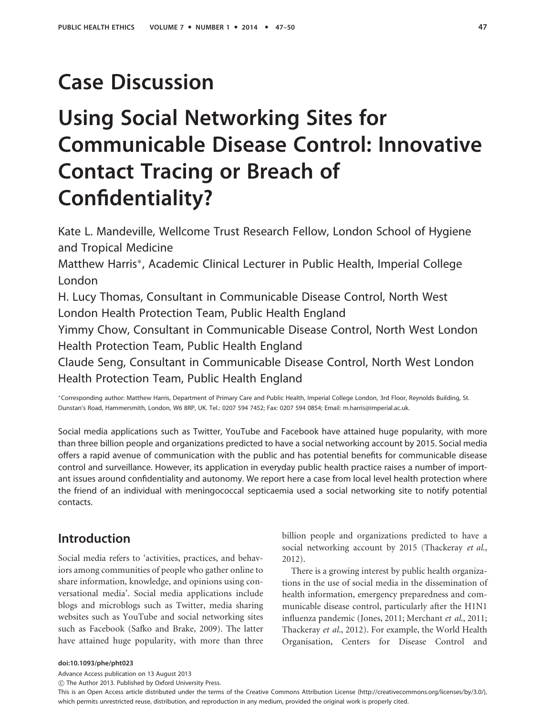## Case Discussion

# Using Social Networking Sites for Communicable Disease Control: Innovative Contact Tracing or Breach of Confidentiality?

Kate L. Mandeville, Wellcome Trust Research Fellow, London School of Hygiene and Tropical Medicine

Matthew Harris\*, Academic Clinical Lecturer in Public Health, Imperial College London

H. Lucy Thomas, Consultant in Communicable Disease Control, North West London Health Protection Team, Public Health England

Yimmy Chow, Consultant in Communicable Disease Control, North West London Health Protection Team, Public Health England

Claude Seng, Consultant in Communicable Disease Control, North West London Health Protection Team, Public Health England

-Corresponding author: Matthew Harris, Department of Primary Care and Public Health, Imperial College London, 3rd Floor, Reynolds Building, St. Dunstan's Road, Hammersmith, London, W6 8RP, UK. Tel.: 0207 594 7452; Fax: 0207 594 0854; Email: m.harris@imperial.ac.uk.

Social media applications such as Twitter, YouTube and Facebook have attained huge popularity, with more than three billion people and organizations predicted to have a social networking account by 2015. Social media offers a rapid avenue of communication with the public and has potential benefits for communicable disease control and surveillance. However, its application in everyday public health practice raises a number of important issues around confidentiality and autonomy. We report here a case from local level health protection where the friend of an individual with meningococcal septicaemia used a social networking site to notify potential contacts.

#### Introduction

Social media refers to 'activities, practices, and behaviors among communities of people who gather online to share information, knowledge, and opinions using conversational media'. Social media applications include blogs and microblogs such as Twitter, media sharing websites such as YouTube and social networking sites such as Facebook [\(Safko and Brake, 2009\)](#page-3-0). The latter have attained huge popularity, with more than three

billion people and organizations predicted to have a social networking account by 2015 ([Thackeray](#page-3-0) et al., [2012](#page-3-0)).

There is a growing interest by public health organizations in the use of social media in the dissemination of health information, emergency preparedness and communicable disease control, particularly after the H1N1 influenza pandemic [\(Jones, 2011](#page-3-0); [Merchant](#page-3-0) et al., 2011; [Thackeray](#page-3-0) et al., 2012). For example, the World Health Organisation, Centers for Disease Control and

Advance Access publication on 13 August 2013

<sup>!</sup> The Author 2013. Published by Oxford University Press.

This is an Open Access article distributed under the terms of the Creative Commons Attribution License (http://creativecommons.org/licenses/by/3.0/), which permits unrestricted reuse, distribution, and reproduction in any medium, provided the original work is properly cited.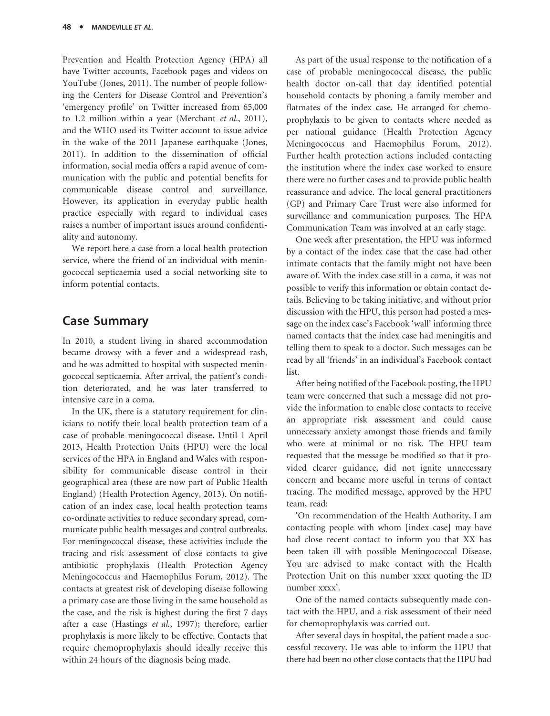Prevention and Health Protection Agency (HPA) all have Twitter accounts, Facebook pages and videos on YouTube [\(Jones, 2011\)](#page-3-0). The number of people following the Centers for Disease Control and Prevention's 'emergency profile' on Twitter increased from 65,000 to 1.2 million within a year ([Merchant](#page-3-0) et al., 2011), and the WHO used its Twitter account to issue advice in the wake of the 2011 Japanese earthquake [\(Jones,](#page-3-0) [2011](#page-3-0)). In addition to the dissemination of official information, social media offers a rapid avenue of communication with the public and potential benefits for communicable disease control and surveillance. However, its application in everyday public health practice especially with regard to individual cases raises a number of important issues around confidentiality and autonomy.

We report here a case from a local health protection service, where the friend of an individual with meningococcal septicaemia used a social networking site to inform potential contacts.

#### Case Summary

In 2010, a student living in shared accommodation became drowsy with a fever and a widespread rash, and he was admitted to hospital with suspected meningococcal septicaemia. After arrival, the patient's condition deteriorated, and he was later transferred to intensive care in a coma.

In the UK, there is a statutory requirement for clinicians to notify their local health protection team of a case of probable meningococcal disease. Until 1 April 2013, Health Protection Units (HPU) were the local services of the HPA in England and Wales with responsibility for communicable disease control in their geographical area (these are now part of Public Health England) ([Health Protection Agency, 2013\)](#page-3-0). On notification of an index case, local health protection teams co-ordinate activities to reduce secondary spread, communicate public health messages and control outbreaks. For meningococcal disease, these activities include the tracing and risk assessment of close contacts to give antibiotic prophylaxis ([Health Protection Agency](#page-3-0) [Meningococcus and Haemophilus Forum, 2012\)](#page-3-0). The contacts at greatest risk of developing disease following a primary case are those living in the same household as the case, and the risk is highest during the first 7 days after a case [\(Hastings](#page-3-0) et al., 1997); therefore, earlier prophylaxis is more likely to be effective. Contacts that require chemoprophylaxis should ideally receive this within 24 hours of the diagnosis being made.

As part of the usual response to the notification of a case of probable meningococcal disease, the public health doctor on-call that day identified potential household contacts by phoning a family member and flatmates of the index case. He arranged for chemoprophylaxis to be given to contacts where needed as per national guidance ([Health Protection Agency](#page-3-0) [Meningococcus and Haemophilus Forum, 2012\)](#page-3-0). Further health protection actions included contacting the institution where the index case worked to ensure there were no further cases and to provide public health reassurance and advice. The local general practitioners (GP) and Primary Care Trust were also informed for surveillance and communication purposes. The HPA Communication Team was involved at an early stage.

One week after presentation, the HPU was informed by a contact of the index case that the case had other intimate contacts that the family might not have been aware of. With the index case still in a coma, it was not possible to verify this information or obtain contact details. Believing to be taking initiative, and without prior discussion with the HPU, this person had posted a message on the index case's Facebook 'wall' informing three named contacts that the index case had meningitis and telling them to speak to a doctor. Such messages can be read by all 'friends' in an individual's Facebook contact list.

After being notified of the Facebook posting, the HPU team were concerned that such a message did not provide the information to enable close contacts to receive an appropriate risk assessment and could cause unnecessary anxiety amongst those friends and family who were at minimal or no risk. The HPU team requested that the message be modified so that it provided clearer guidance, did not ignite unnecessary concern and became more useful in terms of contact tracing. The modified message, approved by the HPU team, read:

'On recommendation of the Health Authority, I am contacting people with whom [index case] may have had close recent contact to inform you that XX has been taken ill with possible Meningococcal Disease. You are advised to make contact with the Health Protection Unit on this number xxxx quoting the ID number xxxx'.

One of the named contacts subsequently made contact with the HPU, and a risk assessment of their need for chemoprophylaxis was carried out.

After several days in hospital, the patient made a successful recovery. He was able to inform the HPU that there had been no other close contacts that the HPU had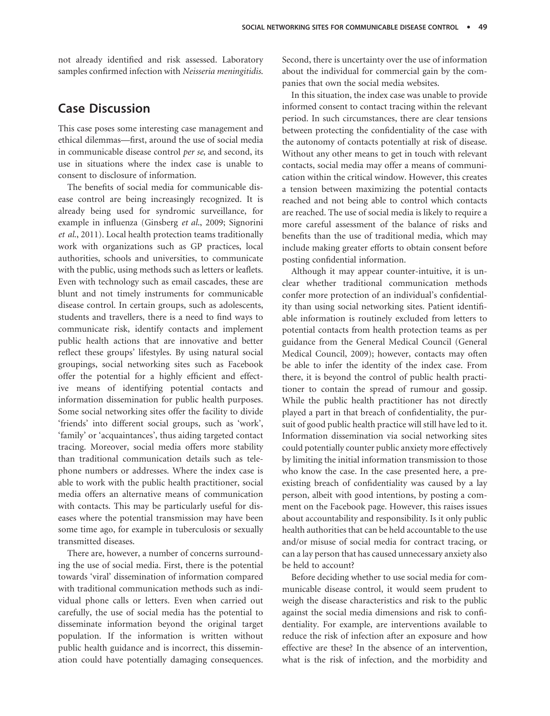not already identified and risk assessed. Laboratory samples confirmed infection with Neisseria meningitidis.

#### Case Discussion

This case poses some interesting case management and ethical dilemmas—first, around the use of social media in communicable disease control per se, and second, its use in situations where the index case is unable to consent to disclosure of information.

The benefits of social media for communicable disease control are being increasingly recognized. It is already being used for syndromic surveillance, for example in influenza ([Ginsberg](#page-3-0) et al., 2009; [Signorini](#page-3-0) et al[., 2011\)](#page-3-0). Local health protection teams traditionally work with organizations such as GP practices, local authorities, schools and universities, to communicate with the public, using methods such as letters or leaflets. Even with technology such as email cascades, these are blunt and not timely instruments for communicable disease control. In certain groups, such as adolescents, students and travellers, there is a need to find ways to communicate risk, identify contacts and implement public health actions that are innovative and better reflect these groups' lifestyles. By using natural social groupings, social networking sites such as Facebook offer the potential for a highly efficient and effective means of identifying potential contacts and information dissemination for public health purposes. Some social networking sites offer the facility to divide 'friends' into different social groups, such as 'work', 'family' or 'acquaintances', thus aiding targeted contact tracing. Moreover, social media offers more stability than traditional communication details such as telephone numbers or addresses. Where the index case is able to work with the public health practitioner, social media offers an alternative means of communication with contacts. This may be particularly useful for diseases where the potential transmission may have been some time ago, for example in tuberculosis or sexually transmitted diseases.

There are, however, a number of concerns surrounding the use of social media. First, there is the potential towards 'viral' dissemination of information compared with traditional communication methods such as individual phone calls or letters. Even when carried out carefully, the use of social media has the potential to disseminate information beyond the original target population. If the information is written without public health guidance and is incorrect, this dissemination could have potentially damaging consequences. Second, there is uncertainty over the use of information about the individual for commercial gain by the companies that own the social media websites.

In this situation, the index case was unable to provide informed consent to contact tracing within the relevant period. In such circumstances, there are clear tensions between protecting the confidentiality of the case with the autonomy of contacts potentially at risk of disease. Without any other means to get in touch with relevant contacts, social media may offer a means of communication within the critical window. However, this creates a tension between maximizing the potential contacts reached and not being able to control which contacts are reached. The use of social media is likely to require a more careful assessment of the balance of risks and benefits than the use of traditional media, which may include making greater efforts to obtain consent before posting confidential information.

Although it may appear counter-intuitive, it is unclear whether traditional communication methods confer more protection of an individual's confidentiality than using social networking sites. Patient identifiable information is routinely excluded from letters to potential contacts from health protection teams as per guidance from the General Medical Council ([General](#page-3-0) [Medical Council, 2009\)](#page-3-0); however, contacts may often be able to infer the identity of the index case. From there, it is beyond the control of public health practitioner to contain the spread of rumour and gossip. While the public health practitioner has not directly played a part in that breach of confidentiality, the pursuit of good public health practice will still have led to it. Information dissemination via social networking sites could potentially counter public anxiety more effectively by limiting the initial information transmission to those who know the case. In the case presented here, a preexisting breach of confidentiality was caused by a lay person, albeit with good intentions, by posting a comment on the Facebook page. However, this raises issues about accountability and responsibility. Is it only public health authorities that can be held accountable to the use and/or misuse of social media for contract tracing, or can a lay person that has caused unnecessary anxiety also be held to account?

Before deciding whether to use social media for communicable disease control, it would seem prudent to weigh the disease characteristics and risk to the public against the social media dimensions and risk to confidentiality. For example, are interventions available to reduce the risk of infection after an exposure and how effective are these? In the absence of an intervention, what is the risk of infection, and the morbidity and